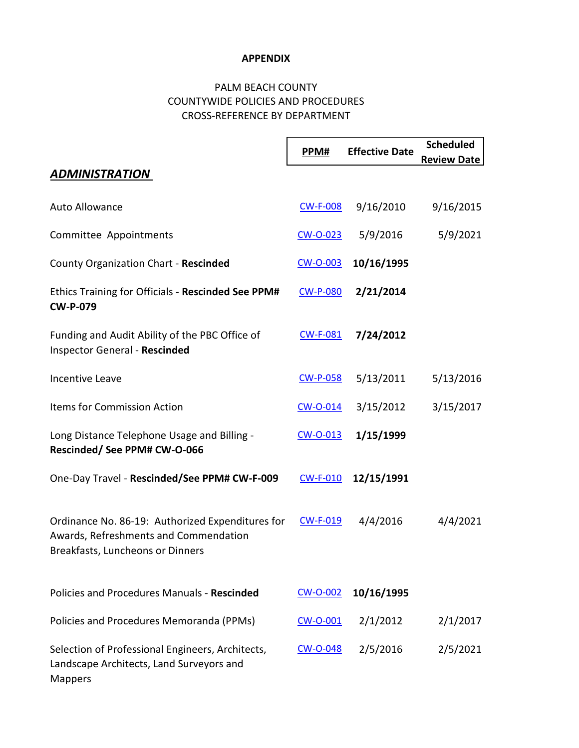## **APPENDIX**

## PALM BEACH COUNTY COUNTYWIDE POLICIES AND PROCEDURES CROSS-REFERENCE BY DEPARTMENT

|                                                                                                                               | PPM#            | <b>Effective Date</b> | <b>Scheduled</b><br><b>Review Date</b> |
|-------------------------------------------------------------------------------------------------------------------------------|-----------------|-----------------------|----------------------------------------|
| <b>ADMINISTRATION</b>                                                                                                         |                 |                       |                                        |
| Auto Allowance                                                                                                                | <b>CW-F-008</b> | 9/16/2010             | 9/16/2015                              |
| Committee Appointments                                                                                                        | $CW$ -0-023     | 5/9/2016              | 5/9/2021                               |
| County Organization Chart - Rescinded                                                                                         | <b>CW-O-003</b> | 10/16/1995            |                                        |
| Ethics Training for Officials - Rescinded See PPM#<br><b>CW-P-079</b>                                                         | <b>CW-P-080</b> | 2/21/2014             |                                        |
| Funding and Audit Ability of the PBC Office of<br>Inspector General - Rescinded                                               | <b>CW-F-081</b> | 7/24/2012             |                                        |
| <b>Incentive Leave</b>                                                                                                        | <b>CW-P-058</b> | 5/13/2011             | 5/13/2016                              |
| <b>Items for Commission Action</b>                                                                                            | $CW$ -O-014     | 3/15/2012             | 3/15/2017                              |
| Long Distance Telephone Usage and Billing -<br>Rescinded/ See PPM# CW-O-066                                                   | $CW$ -O-013     | 1/15/1999             |                                        |
| One-Day Travel - Rescinded/See PPM# CW-F-009                                                                                  | <b>CW-F-010</b> | 12/15/1991            |                                        |
| Ordinance No. 86-19: Authorized Expenditures for<br>Awards, Refreshments and Commendation<br>Breakfasts, Luncheons or Dinners | <b>CW-F-019</b> | 4/4/2016              | 4/4/2021                               |
| Policies and Procedures Manuals - Rescinded                                                                                   | <b>CW-O-002</b> | 10/16/1995            |                                        |
| Policies and Procedures Memoranda (PPMs)                                                                                      | $CW$ -O-001     | 2/1/2012              | 2/1/2017                               |
| Selection of Professional Engineers, Architects,<br>Landscape Architects, Land Surveyors and<br><b>Mappers</b>                | CW-O-048        | 2/5/2016              | 2/5/2021                               |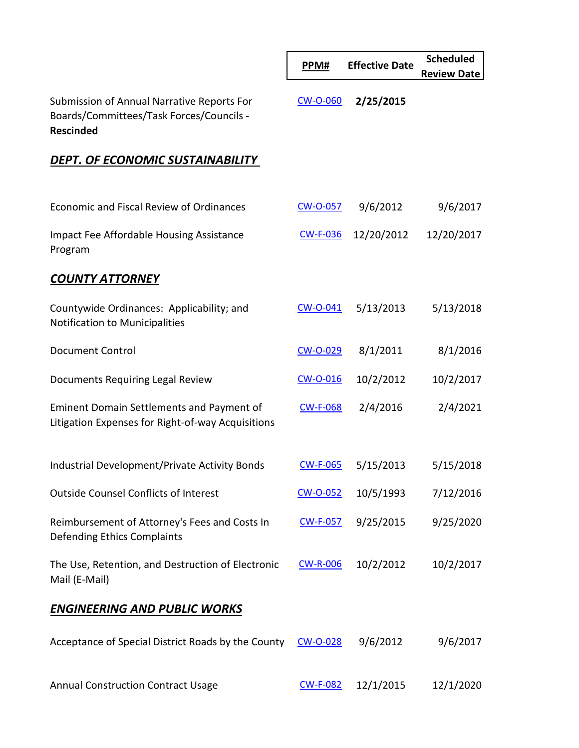|                                                                                                            | PPM#            | <b>Effective Date</b> | <b>Scheduled</b><br><b>Review Date</b> |
|------------------------------------------------------------------------------------------------------------|-----------------|-----------------------|----------------------------------------|
| Submission of Annual Narrative Reports For<br>Boards/Committees/Task Forces/Councils -<br><b>Rescinded</b> | <b>CW-O-060</b> | 2/25/2015             |                                        |
| DEPT. OF ECONOMIC SUSTAINABILITY                                                                           |                 |                       |                                        |
|                                                                                                            |                 |                       |                                        |
| Economic and Fiscal Review of Ordinances                                                                   | CW-O-057        | 9/6/2012              | 9/6/2017                               |
| <b>Impact Fee Affordable Housing Assistance</b><br>Program                                                 | <b>CW-F-036</b> | 12/20/2012            | 12/20/2017                             |
| <b>COUNTY ATTORNEY</b>                                                                                     |                 |                       |                                        |
| Countywide Ordinances: Applicability; and<br>Notification to Municipalities                                | CW-O-041        | 5/13/2013             | 5/13/2018                              |
| <b>Document Control</b>                                                                                    | CW-O-029        | 8/1/2011              | 8/1/2016                               |
| Documents Requiring Legal Review                                                                           | <b>CW-O-016</b> | 10/2/2012             | 10/2/2017                              |
| <b>Eminent Domain Settlements and Payment of</b><br>Litigation Expenses for Right-of-way Acquisitions      | <b>CW-F-068</b> | 2/4/2016              | 2/4/2021                               |
| Industrial Development/Private Activity Bonds                                                              | <b>CW-F-065</b> | 5/15/2013             | 5/15/2018                              |
| <b>Outside Counsel Conflicts of Interest</b>                                                               | CW-O-052        | 10/5/1993             | 7/12/2016                              |
| Reimbursement of Attorney's Fees and Costs In<br>Defending Ethics Complaints                               | <b>CW-F-057</b> | 9/25/2015             | 9/25/2020                              |
| The Use, Retention, and Destruction of Electronic<br>Mail (E-Mail)                                         | <b>CW-R-006</b> | 10/2/2012             | 10/2/2017                              |
| <b>ENGINEERING AND PUBLIC WORKS</b>                                                                        |                 |                       |                                        |
| Acceptance of Special District Roads by the County                                                         | CW-O-028        | 9/6/2012              | 9/6/2017                               |
| <b>Annual Construction Contract Usage</b>                                                                  | <b>CW-F-082</b> | 12/1/2015             | 12/1/2020                              |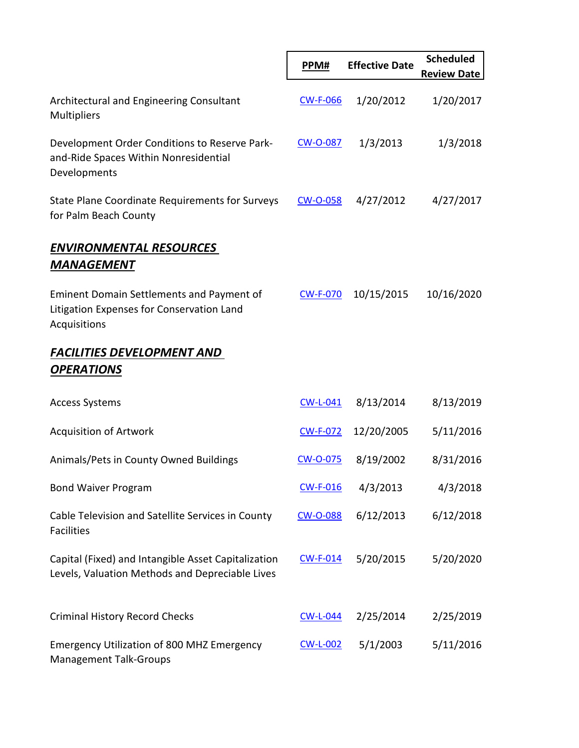|                                                                                                               | PPM#            | <b>Effective Date</b> | <b>Scheduled</b><br><b>Review Date</b> |
|---------------------------------------------------------------------------------------------------------------|-----------------|-----------------------|----------------------------------------|
| Architectural and Engineering Consultant<br>Multipliers                                                       | <b>CW-F-066</b> | 1/20/2012             | 1/20/2017                              |
| Development Order Conditions to Reserve Park-<br>and-Ride Spaces Within Nonresidential<br>Developments        | CW-O-087        | 1/3/2013              | 1/3/2018                               |
| <b>State Plane Coordinate Requirements for Surveys</b><br>for Palm Beach County                               | CW-O-058        | 4/27/2012             | 4/27/2017                              |
| <b>ENVIRONMENTAL RESOURCES</b><br><b>MANAGEMENT</b>                                                           |                 |                       |                                        |
| <b>Eminent Domain Settlements and Payment of</b><br>Litigation Expenses for Conservation Land<br>Acquisitions | <b>CW-F-070</b> | 10/15/2015            | 10/16/2020                             |
| <b>FACILITIES DEVELOPMENT AND</b><br><b>OPERATIONS</b>                                                        |                 |                       |                                        |
| <b>Access Systems</b>                                                                                         | $CW-L-041$      | 8/13/2014             | 8/13/2019                              |
| <b>Acquisition of Artwork</b>                                                                                 | <b>CW-F-072</b> | 12/20/2005            | 5/11/2016                              |
| Animals/Pets in County Owned Buildings                                                                        | CW-O-075        | 8/19/2002             | 8/31/2016                              |
| <b>Bond Waiver Program</b>                                                                                    | <b>CW-F-016</b> | 4/3/2013              | 4/3/2018                               |
| Cable Television and Satellite Services in County<br><b>Facilities</b>                                        | CW-O-088        | 6/12/2013             | 6/12/2018                              |
| Capital (Fixed) and Intangible Asset Capitalization<br>Levels, Valuation Methods and Depreciable Lives        | $CW-F-014$      | 5/20/2015             | 5/20/2020                              |
| <b>Criminal History Record Checks</b>                                                                         | <b>CW-L-044</b> | 2/25/2014             | 2/25/2019                              |
| <b>Emergency Utilization of 800 MHZ Emergency</b><br><b>Management Talk-Groups</b>                            | <b>CW-L-002</b> | 5/1/2003              | 5/11/2016                              |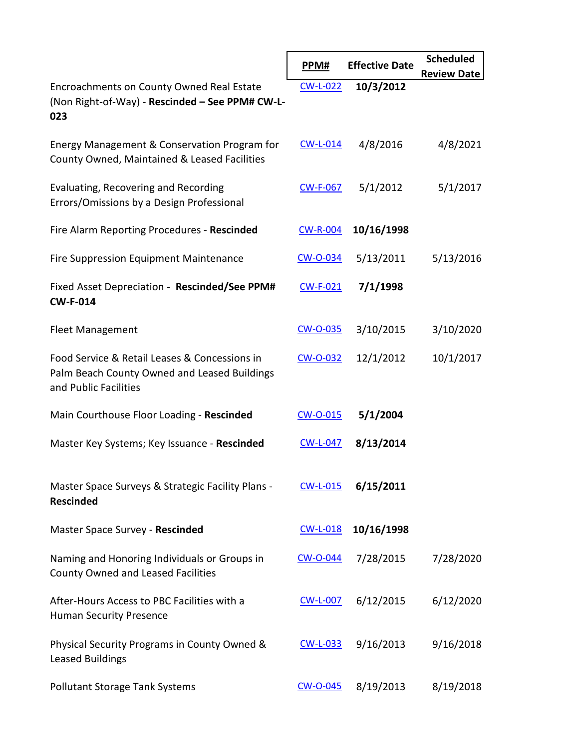|                                                                                                                        | PPM#            | <b>Effective Date</b> | <b>Scheduled</b><br><b>Review Date</b> |
|------------------------------------------------------------------------------------------------------------------------|-----------------|-----------------------|----------------------------------------|
| Encroachments on County Owned Real Estate<br>(Non Right-of-Way) - Rescinded - See PPM# CW-L-<br>023                    | <b>CW-L-022</b> | 10/3/2012             |                                        |
| Energy Management & Conservation Program for<br>County Owned, Maintained & Leased Facilities                           | $CW-L-014$      | 4/8/2016              | 4/8/2021                               |
| Evaluating, Recovering and Recording<br>Errors/Omissions by a Design Professional                                      | <b>CW-F-067</b> | 5/1/2012              | 5/1/2017                               |
| Fire Alarm Reporting Procedures - Rescinded                                                                            | <b>CW-R-004</b> | 10/16/1998            |                                        |
| Fire Suppression Equipment Maintenance                                                                                 | <u>CW-O-034</u> | 5/13/2011             | 5/13/2016                              |
| Fixed Asset Depreciation - Rescinded/See PPM#<br><b>CW-F-014</b>                                                       | $CW-F-021$      | 7/1/1998              |                                        |
| <b>Fleet Management</b>                                                                                                | CW-O-035        | 3/10/2015             | 3/10/2020                              |
| Food Service & Retail Leases & Concessions in<br>Palm Beach County Owned and Leased Buildings<br>and Public Facilities | <u>CW-O-032</u> | 12/1/2012             | 10/1/2017                              |
| Main Courthouse Floor Loading - Rescinded                                                                              | CW-O-015        | 5/1/2004              |                                        |
| Master Key Systems; Key Issuance - Rescinded                                                                           | <b>CW-L-047</b> | 8/13/2014             |                                        |
| Master Space Surveys & Strategic Facility Plans -<br><b>Rescinded</b>                                                  | $CW-L-015$      | 6/15/2011             |                                        |
| Master Space Survey - Rescinded                                                                                        | $CW-L-018$      | 10/16/1998            |                                        |
| Naming and Honoring Individuals or Groups in<br><b>County Owned and Leased Facilities</b>                              | <b>CW-O-044</b> | 7/28/2015             | 7/28/2020                              |
| After-Hours Access to PBC Facilities with a<br><b>Human Security Presence</b>                                          | <b>CW-L-007</b> | 6/12/2015             | 6/12/2020                              |
| Physical Security Programs in County Owned &<br><b>Leased Buildings</b>                                                | <b>CW-L-033</b> | 9/16/2013             | 9/16/2018                              |
| <b>Pollutant Storage Tank Systems</b>                                                                                  | <b>CW-O-045</b> | 8/19/2013             | 8/19/2018                              |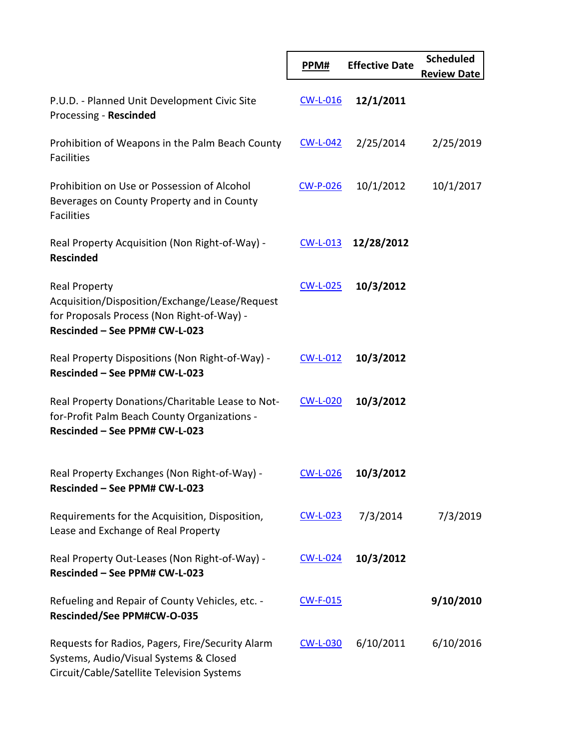|                                                                                                                                                       | PPM#            | <b>Effective Date</b> | <b>Scheduled</b><br><b>Review Date</b> |
|-------------------------------------------------------------------------------------------------------------------------------------------------------|-----------------|-----------------------|----------------------------------------|
| P.U.D. - Planned Unit Development Civic Site<br>Processing - Rescinded                                                                                | $CW-L-016$      | 12/1/2011             |                                        |
| Prohibition of Weapons in the Palm Beach County<br><b>Facilities</b>                                                                                  | $CW-L-042$      | 2/25/2014             | 2/25/2019                              |
| Prohibition on Use or Possession of Alcohol<br>Beverages on County Property and in County<br><b>Facilities</b>                                        | <u>CW-P-026</u> | 10/1/2012             | 10/1/2017                              |
| Real Property Acquisition (Non Right-of-Way) -<br><b>Rescinded</b>                                                                                    | $CW-L-013$      | 12/28/2012            |                                        |
| <b>Real Property</b><br>Acquisition/Disposition/Exchange/Lease/Request<br>for Proposals Process (Non Right-of-Way) -<br>Rescinded - See PPM# CW-L-023 | $CW-L-025$      | 10/3/2012             |                                        |
| Real Property Dispositions (Non Right-of-Way) -<br>Rescinded - See PPM# CW-L-023                                                                      | $CW-L-012$      | 10/3/2012             |                                        |
| Real Property Donations/Charitable Lease to Not-<br>for-Profit Palm Beach County Organizations -<br>Rescinded - See PPM# CW-L-023                     | <b>CW-L-020</b> | 10/3/2012             |                                        |
| Real Property Exchanges (Non Right-of-Way) -<br>Rescinded - See PPM# CW-L-023                                                                         | <b>CW-L-026</b> | 10/3/2012             |                                        |
| Requirements for the Acquisition, Disposition,<br>Lease and Exchange of Real Property                                                                 | <u>CW-L-023</u> | 7/3/2014              | 7/3/2019                               |
| Real Property Out-Leases (Non Right-of-Way) -<br>Rescinded - See PPM# CW-L-023                                                                        | $CW-L-024$      | 10/3/2012             |                                        |
| Refueling and Repair of County Vehicles, etc. -<br>Rescinded/See PPM#CW-O-035                                                                         | <b>CW-F-015</b> |                       | 9/10/2010                              |
| Requests for Radios, Pagers, Fire/Security Alarm<br>Systems, Audio/Visual Systems & Closed<br>Circuit/Cable/Satellite Television Systems              | <b>CW-L-030</b> | 6/10/2011             | 6/10/2016                              |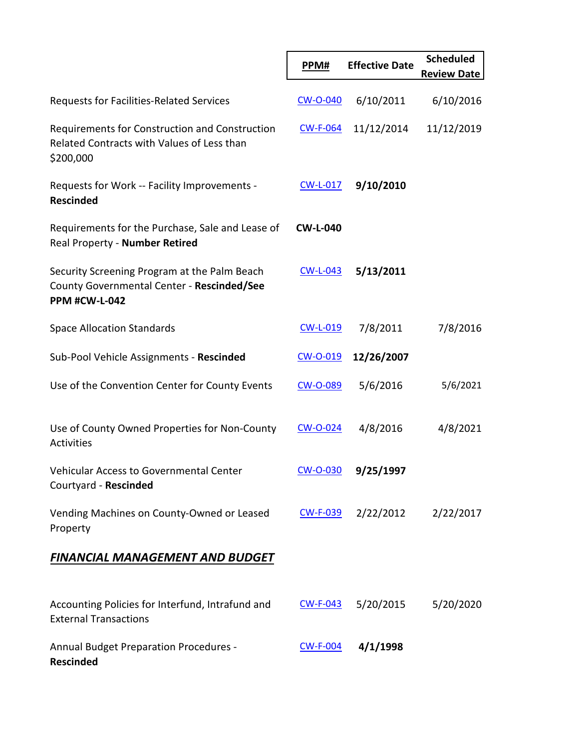|                                                                                                                    | PPM#            | <b>Effective Date</b> | <b>Scheduled</b><br><b>Review Date</b> |
|--------------------------------------------------------------------------------------------------------------------|-----------------|-----------------------|----------------------------------------|
| Requests for Facilities-Related Services                                                                           | <b>CW-O-040</b> | 6/10/2011             | 6/10/2016                              |
| Requirements for Construction and Construction<br>Related Contracts with Values of Less than<br>\$200,000          | <b>CW-F-064</b> | 11/12/2014            | 11/12/2019                             |
| Requests for Work -- Facility Improvements -<br><b>Rescinded</b>                                                   | <b>CW-L-017</b> | 9/10/2010             |                                        |
| Requirements for the Purchase, Sale and Lease of<br>Real Property - Number Retired                                 | <b>CW-L-040</b> |                       |                                        |
| Security Screening Program at the Palm Beach<br>County Governmental Center - Rescinded/See<br><b>PPM #CW-L-042</b> | <b>CW-L-043</b> | 5/13/2011             |                                        |
| <b>Space Allocation Standards</b>                                                                                  | <b>CW-L-019</b> | 7/8/2011              | 7/8/2016                               |
| Sub-Pool Vehicle Assignments - Rescinded                                                                           | CW-O-019        | 12/26/2007            |                                        |
| Use of the Convention Center for County Events                                                                     | CW-O-089        | 5/6/2016              | 5/6/2021                               |
| Use of County Owned Properties for Non-County<br><b>Activities</b>                                                 | CW-O-024        | 4/8/2016              | 4/8/2021                               |
| Vehicular Access to Governmental Center<br>Courtyard - Rescinded                                                   | <b>CW-O-030</b> | 9/25/1997             |                                        |
| Vending Machines on County-Owned or Leased<br>Property                                                             | <b>CW-F-039</b> | 2/22/2012             | 2/22/2017                              |
| <b>FINANCIAL MANAGEMENT AND BUDGET</b>                                                                             |                 |                       |                                        |
| Accounting Policies for Interfund, Intrafund and<br><b>External Transactions</b>                                   | $CW-F-043$      | 5/20/2015             | 5/20/2020                              |
| <b>Annual Budget Preparation Procedures -</b><br><b>Rescinded</b>                                                  | <b>CW-F-004</b> | 4/1/1998              |                                        |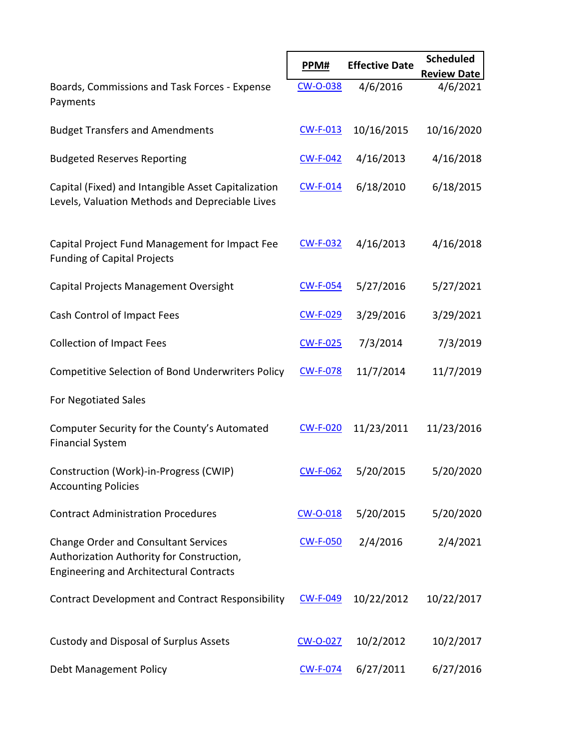|                                                                                                                                            |                 |                       | <b>Scheduled</b>   |
|--------------------------------------------------------------------------------------------------------------------------------------------|-----------------|-----------------------|--------------------|
|                                                                                                                                            | PPM#            | <b>Effective Date</b> | <b>Review Date</b> |
| Boards, Commissions and Task Forces - Expense<br>Payments                                                                                  | <b>CW-O-038</b> | 4/6/2016              | 4/6/2021           |
| <b>Budget Transfers and Amendments</b>                                                                                                     | <b>CW-F-013</b> | 10/16/2015            | 10/16/2020         |
| <b>Budgeted Reserves Reporting</b>                                                                                                         | <b>CW-F-042</b> | 4/16/2013             | 4/16/2018          |
| Capital (Fixed) and Intangible Asset Capitalization<br>Levels, Valuation Methods and Depreciable Lives                                     | $CW-F-014$      | 6/18/2010             | 6/18/2015          |
| Capital Project Fund Management for Impact Fee<br><b>Funding of Capital Projects</b>                                                       | <b>CW-F-032</b> | 4/16/2013             | 4/16/2018          |
| Capital Projects Management Oversight                                                                                                      | <b>CW-F-054</b> | 5/27/2016             | 5/27/2021          |
| Cash Control of Impact Fees                                                                                                                | <u>CW-F-029</u> | 3/29/2016             | 3/29/2021          |
| <b>Collection of Impact Fees</b>                                                                                                           | <b>CW-F-025</b> | 7/3/2014              | 7/3/2019           |
| Competitive Selection of Bond Underwriters Policy                                                                                          | <b>CW-F-078</b> | 11/7/2014             | 11/7/2019          |
| For Negotiated Sales                                                                                                                       |                 |                       |                    |
| Computer Security for the County's Automated<br><b>Financial System</b>                                                                    | <b>CW-F-020</b> | 11/23/2011            | 11/23/2016         |
| Construction (Work)-in-Progress (CWIP)<br><b>Accounting Policies</b>                                                                       | <b>CW-F-062</b> | 5/20/2015             | 5/20/2020          |
| <b>Contract Administration Procedures</b>                                                                                                  | $CW$ -O-018     | 5/20/2015             | 5/20/2020          |
| <b>Change Order and Consultant Services</b><br>Authorization Authority for Construction,<br><b>Engineering and Architectural Contracts</b> | <b>CW-F-050</b> | 2/4/2016              | 2/4/2021           |
| <b>Contract Development and Contract Responsibility</b>                                                                                    | <b>CW-F-049</b> | 10/22/2012            | 10/22/2017         |
| Custody and Disposal of Surplus Assets                                                                                                     | CW-O-027        | 10/2/2012             | 10/2/2017          |
| Debt Management Policy                                                                                                                     | <b>CW-F-074</b> | 6/27/2011             | 6/27/2016          |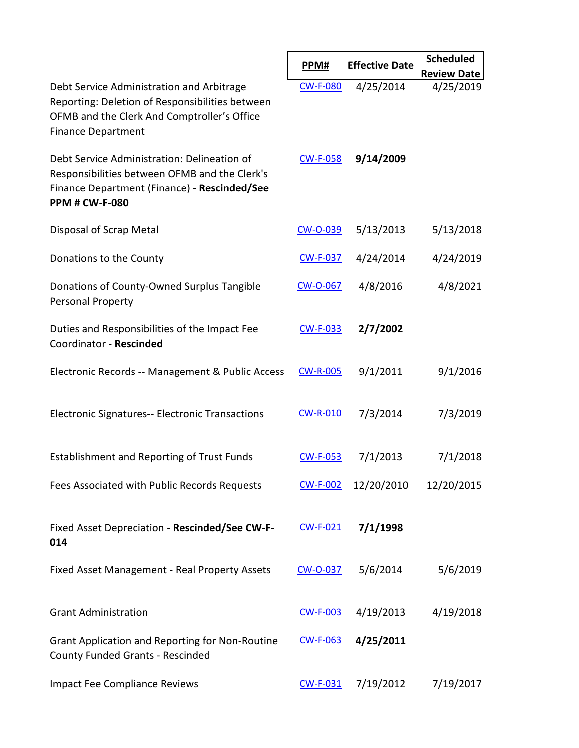|                                                                                                                                                                          | PPM#            | <b>Effective Date</b> | <b>Scheduled</b>   |
|--------------------------------------------------------------------------------------------------------------------------------------------------------------------------|-----------------|-----------------------|--------------------|
|                                                                                                                                                                          |                 |                       | <b>Review Date</b> |
| Debt Service Administration and Arbitrage<br>Reporting: Deletion of Responsibilities between<br>OFMB and the Clerk And Comptroller's Office<br><b>Finance Department</b> | <b>CW-F-080</b> | 4/25/2014             | 4/25/2019          |
| Debt Service Administration: Delineation of<br>Responsibilities between OFMB and the Clerk's<br>Finance Department (Finance) - Rescinded/See<br><b>PPM # CW-F-080</b>    | <b>CW-F-058</b> | 9/14/2009             |                    |
| Disposal of Scrap Metal                                                                                                                                                  | CW-O-039        | 5/13/2013             | 5/13/2018          |
| Donations to the County                                                                                                                                                  | <b>CW-F-037</b> | 4/24/2014             | 4/24/2019          |
| Donations of County-Owned Surplus Tangible<br>Personal Property                                                                                                          | CW-O-067        | 4/8/2016              | 4/8/2021           |
| Duties and Responsibilities of the Impact Fee<br>Coordinator - Rescinded                                                                                                 | <b>CW-F-033</b> | 2/7/2002              |                    |
| Electronic Records -- Management & Public Access                                                                                                                         | <b>CW-R-005</b> | 9/1/2011              | 9/1/2016           |
| <b>Electronic Signatures-- Electronic Transactions</b>                                                                                                                   | <b>CW-R-010</b> | 7/3/2014              | 7/3/2019           |
| <b>Establishment and Reporting of Trust Funds</b>                                                                                                                        | <b>CW-F-053</b> | 7/1/2013              | 7/1/2018           |
| Fees Associated with Public Records Requests                                                                                                                             | <b>CW-F-002</b> | 12/20/2010            | 12/20/2015         |
| Fixed Asset Depreciation - Rescinded/See CW-F-<br>014                                                                                                                    | <b>CW-F-021</b> | 7/1/1998              |                    |
| Fixed Asset Management - Real Property Assets                                                                                                                            | CW-O-037        | 5/6/2014              | 5/6/2019           |
| <b>Grant Administration</b>                                                                                                                                              | <b>CW-F-003</b> | 4/19/2013             | 4/19/2018          |
| Grant Application and Reporting for Non-Routine<br><b>County Funded Grants - Rescinded</b>                                                                               | <b>CW-F-063</b> | 4/25/2011             |                    |
| <b>Impact Fee Compliance Reviews</b>                                                                                                                                     | <b>CW-F-031</b> | 7/19/2012             | 7/19/2017          |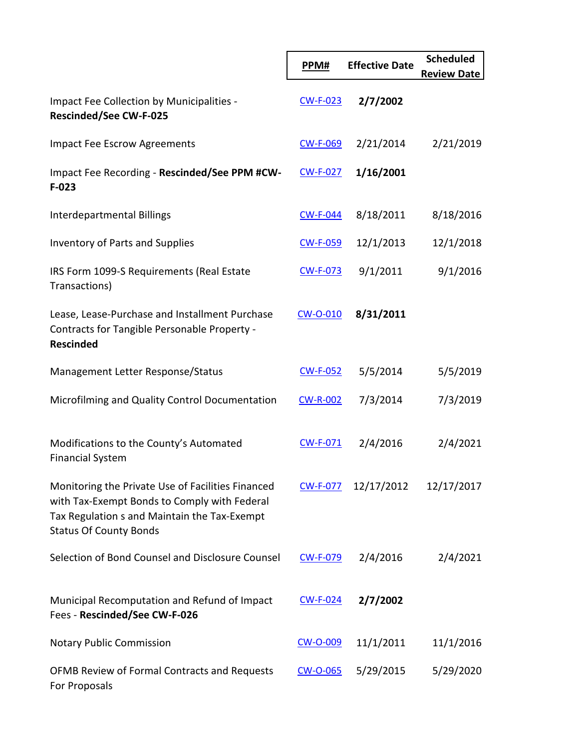|                                                                                                                                                                                    | PPM#            | <b>Effective Date</b> | <b>Scheduled</b><br><b>Review Date</b> |
|------------------------------------------------------------------------------------------------------------------------------------------------------------------------------------|-----------------|-----------------------|----------------------------------------|
| <b>Impact Fee Collection by Municipalities -</b><br><b>Rescinded/See CW-F-025</b>                                                                                                  | $CW-F-023$      | 2/7/2002              |                                        |
| <b>Impact Fee Escrow Agreements</b>                                                                                                                                                | <b>CW-F-069</b> | 2/21/2014             | 2/21/2019                              |
| Impact Fee Recording - Rescinded/See PPM #CW-<br>$F-023$                                                                                                                           | <b>CW-F-027</b> | 1/16/2001             |                                        |
| Interdepartmental Billings                                                                                                                                                         | <b>CW-F-044</b> | 8/18/2011             | 8/18/2016                              |
| <b>Inventory of Parts and Supplies</b>                                                                                                                                             | <b>CW-F-059</b> | 12/1/2013             | 12/1/2018                              |
| IRS Form 1099-S Requirements (Real Estate<br>Transactions)                                                                                                                         | <b>CW-F-073</b> | 9/1/2011              | 9/1/2016                               |
| Lease, Lease-Purchase and Installment Purchase<br>Contracts for Tangible Personable Property -<br><b>Rescinded</b>                                                                 | CW-O-010        | 8/31/2011             |                                        |
| Management Letter Response/Status                                                                                                                                                  | $CW-F-052$      | 5/5/2014              | 5/5/2019                               |
| Microfilming and Quality Control Documentation                                                                                                                                     | <b>CW-R-002</b> | 7/3/2014              | 7/3/2019                               |
| Modifications to the County's Automated<br><b>Financial System</b>                                                                                                                 | <b>CW-F-071</b> | 2/4/2016              | 2/4/2021                               |
| Monitoring the Private Use of Facilities Financed<br>with Tax-Exempt Bonds to Comply with Federal<br>Tax Regulation s and Maintain the Tax-Exempt<br><b>Status Of County Bonds</b> | <b>CW-F-077</b> | 12/17/2012            | 12/17/2017                             |
| Selection of Bond Counsel and Disclosure Counsel                                                                                                                                   | CW-F-079        | 2/4/2016              | 2/4/2021                               |
| Municipal Recomputation and Refund of Impact<br>Fees - Rescinded/See CW-F-026                                                                                                      | <b>CW-F-024</b> | 2/7/2002              |                                        |
| <b>Notary Public Commission</b>                                                                                                                                                    | CW-O-009        | 11/1/2011             | 11/1/2016                              |
| OFMB Review of Formal Contracts and Requests<br>For Proposals                                                                                                                      | CW-O-065        | 5/29/2015             | 5/29/2020                              |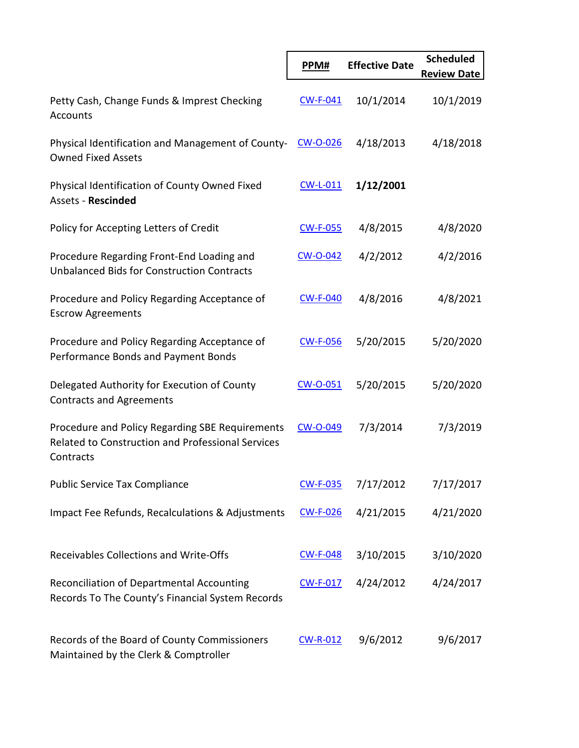|                                                                                                                          | PPM#            | <b>Effective Date</b> | <b>Scheduled</b><br><b>Review Date</b> |
|--------------------------------------------------------------------------------------------------------------------------|-----------------|-----------------------|----------------------------------------|
| Petty Cash, Change Funds & Imprest Checking<br><b>Accounts</b>                                                           | $CW-F-041$      | 10/1/2014             | 10/1/2019                              |
| Physical Identification and Management of County-<br><b>Owned Fixed Assets</b>                                           | CW-O-026        | 4/18/2013             | 4/18/2018                              |
| Physical Identification of County Owned Fixed<br><b>Assets - Rescinded</b>                                               | $CW-L-011$      | 1/12/2001             |                                        |
| Policy for Accepting Letters of Credit                                                                                   | <b>CW-F-055</b> | 4/8/2015              | 4/8/2020                               |
| Procedure Regarding Front-End Loading and<br><b>Unbalanced Bids for Construction Contracts</b>                           | <b>CW-O-042</b> | 4/2/2012              | 4/2/2016                               |
| Procedure and Policy Regarding Acceptance of<br><b>Escrow Agreements</b>                                                 | <b>CW-F-040</b> | 4/8/2016              | 4/8/2021                               |
| Procedure and Policy Regarding Acceptance of<br>Performance Bonds and Payment Bonds                                      | <b>CW-F-056</b> | 5/20/2015             | 5/20/2020                              |
| Delegated Authority for Execution of County<br><b>Contracts and Agreements</b>                                           | $CW$ -O-051     | 5/20/2015             | 5/20/2020                              |
| Procedure and Policy Regarding SBE Requirements<br><b>Related to Construction and Professional Services</b><br>Contracts | CW-O-049        | 7/3/2014              | 7/3/2019                               |
| <b>Public Service Tax Compliance</b>                                                                                     | <b>CW-F-035</b> | 7/17/2012             | 7/17/2017                              |
| Impact Fee Refunds, Recalculations & Adjustments                                                                         | <b>CW-F-026</b> | 4/21/2015             | 4/21/2020                              |
| Receivables Collections and Write-Offs                                                                                   | <b>CW-F-048</b> | 3/10/2015             | 3/10/2020                              |
| Reconciliation of Departmental Accounting<br>Records To The County's Financial System Records                            | <b>CW-F-017</b> | 4/24/2012             | 4/24/2017                              |
| Records of the Board of County Commissioners<br>Maintained by the Clerk & Comptroller                                    | <b>CW-R-012</b> | 9/6/2012              | 9/6/2017                               |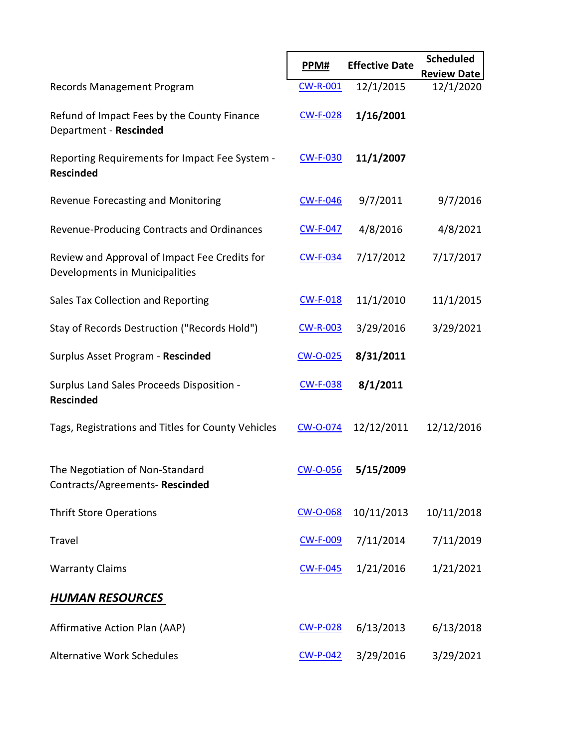|                                                                                 | PPM#            | <b>Effective Date</b> | <b>Scheduled</b><br><b>Review Date</b> |
|---------------------------------------------------------------------------------|-----------------|-----------------------|----------------------------------------|
| Records Management Program                                                      | <b>CW-R-001</b> | 12/1/2015             | 12/1/2020                              |
| Refund of Impact Fees by the County Finance<br>Department - Rescinded           | <b>CW-F-028</b> | 1/16/2001             |                                        |
| Reporting Requirements for Impact Fee System -<br><b>Rescinded</b>              | <b>CW-F-030</b> | 11/1/2007             |                                        |
| Revenue Forecasting and Monitoring                                              | <b>CW-F-046</b> | 9/7/2011              | 9/7/2016                               |
| Revenue-Producing Contracts and Ordinances                                      | <b>CW-F-047</b> | 4/8/2016              | 4/8/2021                               |
| Review and Approval of Impact Fee Credits for<br>Developments in Municipalities | <b>CW-F-034</b> | 7/17/2012             | 7/17/2017                              |
| Sales Tax Collection and Reporting                                              | <b>CW-F-018</b> | 11/1/2010             | 11/1/2015                              |
| Stay of Records Destruction ("Records Hold")                                    | <b>CW-R-003</b> | 3/29/2016             | 3/29/2021                              |
| Surplus Asset Program - Rescinded                                               | CW-O-025        | 8/31/2011             |                                        |
| Surplus Land Sales Proceeds Disposition -<br><b>Rescinded</b>                   | <b>CW-F-038</b> | 8/1/2011              |                                        |
| Tags, Registrations and Titles for County Vehicles                              | CW-O-074        | 12/12/2011            | 12/12/2016                             |
| The Negotiation of Non-Standard<br>Contracts/Agreements-Rescinded               | <b>CW-O-056</b> | 5/15/2009             |                                        |
| <b>Thrift Store Operations</b>                                                  | <b>CW-O-068</b> | 10/11/2013            | 10/11/2018                             |
| Travel                                                                          | <b>CW-F-009</b> | 7/11/2014             | 7/11/2019                              |
| <b>Warranty Claims</b>                                                          | <b>CW-F-045</b> | 1/21/2016             | 1/21/2021                              |
| <u>HUMAN RESOURCES</u>                                                          |                 |                       |                                        |
| <b>Affirmative Action Plan (AAP)</b>                                            | <b>CW-P-028</b> | 6/13/2013             | 6/13/2018                              |
| <b>Alternative Work Schedules</b>                                               | $CW-P-042$      | 3/29/2016             | 3/29/2021                              |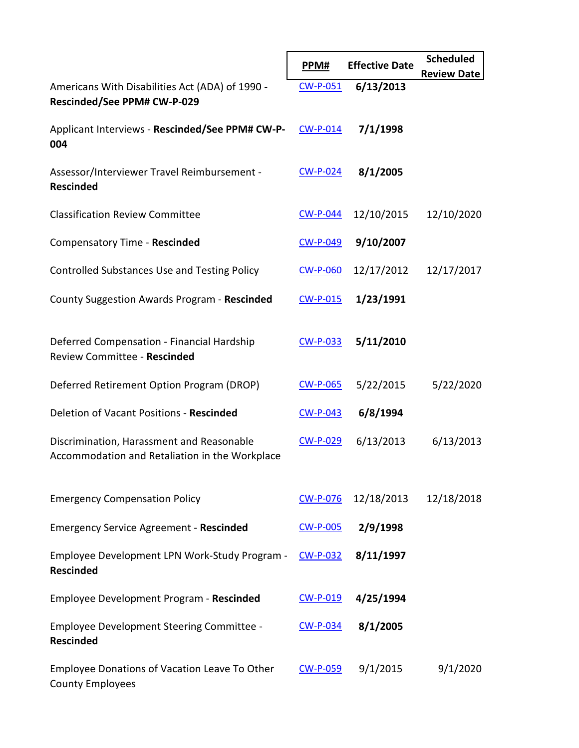|                                                                                             | PPM#            | <b>Effective Date</b> | <b>Scheduled</b><br><b>Review Date</b> |
|---------------------------------------------------------------------------------------------|-----------------|-----------------------|----------------------------------------|
| Americans With Disabilities Act (ADA) of 1990 -<br>Rescinded/See PPM# CW-P-029              | $CW-P-051$      | 6/13/2013             |                                        |
| Applicant Interviews - Rescinded/See PPM# CW-P-<br>004                                      | $CW-P-014$      | 7/1/1998              |                                        |
| Assessor/Interviewer Travel Reimbursement -<br><b>Rescinded</b>                             | $CW-P-024$      | 8/1/2005              |                                        |
| <b>Classification Review Committee</b>                                                      | <b>CW-P-044</b> | 12/10/2015            | 12/10/2020                             |
| Compensatory Time - Rescinded                                                               | <b>CW-P-049</b> | 9/10/2007             |                                        |
| <b>Controlled Substances Use and Testing Policy</b>                                         | <b>CW-P-060</b> | 12/17/2012            | 12/17/2017                             |
| County Suggestion Awards Program - Rescinded                                                | $CW-P-015$      | 1/23/1991             |                                        |
| Deferred Compensation - Financial Hardship<br>Review Committee - Rescinded                  | <b>CW-P-033</b> | 5/11/2010             |                                        |
| Deferred Retirement Option Program (DROP)                                                   | <b>CW-P-065</b> | 5/22/2015             | 5/22/2020                              |
| Deletion of Vacant Positions - Rescinded                                                    | $CW-P-043$      | 6/8/1994              |                                        |
| Discrimination, Harassment and Reasonable<br>Accommodation and Retaliation in the Workplace | <b>CW-P-029</b> | 6/13/2013             | 6/13/2013                              |
| <b>Emergency Compensation Policy</b>                                                        | <b>CW-P-076</b> | 12/18/2013            | 12/18/2018                             |
| <b>Emergency Service Agreement - Rescinded</b>                                              | <b>CW-P-005</b> | 2/9/1998              |                                        |
| Employee Development LPN Work-Study Program -<br><b>Rescinded</b>                           | <b>CW-P-032</b> | 8/11/1997             |                                        |
| Employee Development Program - Rescinded                                                    | CW-P-019        | 4/25/1994             |                                        |
| Employee Development Steering Committee -<br><b>Rescinded</b>                               | <b>CW-P-034</b> | 8/1/2005              |                                        |
| Employee Donations of Vacation Leave To Other<br><b>County Employees</b>                    | <b>CW-P-059</b> | 9/1/2015              | 9/1/2020                               |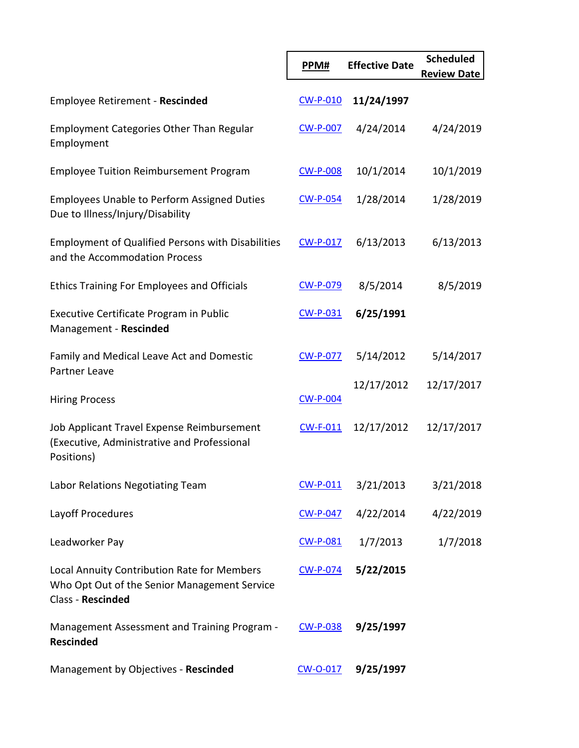|                                                                                                                  | PPM#            | <b>Effective Date</b> | <b>Scheduled</b><br><b>Review Date</b> |
|------------------------------------------------------------------------------------------------------------------|-----------------|-----------------------|----------------------------------------|
| <b>Employee Retirement - Rescinded</b>                                                                           | <b>CW-P-010</b> | 11/24/1997            |                                        |
| <b>Employment Categories Other Than Regular</b><br>Employment                                                    | <b>CW-P-007</b> | 4/24/2014             | 4/24/2019                              |
| <b>Employee Tuition Reimbursement Program</b>                                                                    | <b>CW-P-008</b> | 10/1/2014             | 10/1/2019                              |
| <b>Employees Unable to Perform Assigned Duties</b><br>Due to Illness/Injury/Disability                           | <b>CW-P-054</b> | 1/28/2014             | 1/28/2019                              |
| <b>Employment of Qualified Persons with Disabilities</b><br>and the Accommodation Process                        | <b>CW-P-017</b> | 6/13/2013             | 6/13/2013                              |
| <b>Ethics Training For Employees and Officials</b>                                                               | <b>CW-P-079</b> | 8/5/2014              | 8/5/2019                               |
| Executive Certificate Program in Public<br>Management - Rescinded                                                | $CW-P-031$      | 6/25/1991             |                                        |
| Family and Medical Leave Act and Domestic<br>Partner Leave                                                       | <b>CW-P-077</b> | 5/14/2012             | 5/14/2017                              |
|                                                                                                                  |                 | 12/17/2012            | 12/17/2017                             |
| <b>Hiring Process</b>                                                                                            | <b>CW-P-004</b> |                       |                                        |
| Job Applicant Travel Expense Reimbursement<br>(Executive, Administrative and Professional<br>Positions)          | $CW-F-011$      | 12/17/2012            | 12/17/2017                             |
| Labor Relations Negotiating Team                                                                                 | <b>CW-P-011</b> | 3/21/2013             | 3/21/2018                              |
| Layoff Procedures                                                                                                | <b>CW-P-047</b> | 4/22/2014             | 4/22/2019                              |
| Leadworker Pay                                                                                                   | CW-P-081        | 1/7/2013              | 1/7/2018                               |
| Local Annuity Contribution Rate for Members<br>Who Opt Out of the Senior Management Service<br>Class - Rescinded | <b>CW-P-074</b> | 5/22/2015             |                                        |
| Management Assessment and Training Program -<br><b>Rescinded</b>                                                 | <b>CW-P-038</b> | 9/25/1997             |                                        |
| Management by Objectives - Rescinded                                                                             | CW-O-017        | 9/25/1997             |                                        |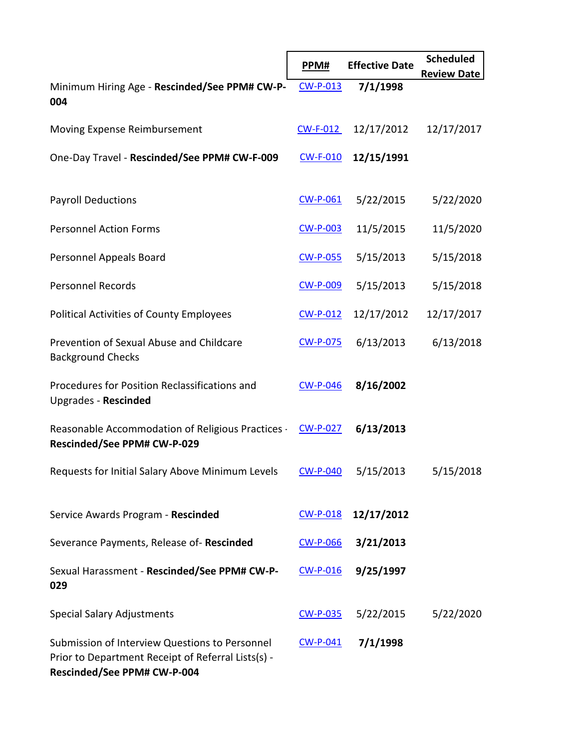|                                                                                                                                     | PPM#            | <b>Effective Date</b> | <b>Scheduled</b><br><b>Review Date</b> |
|-------------------------------------------------------------------------------------------------------------------------------------|-----------------|-----------------------|----------------------------------------|
| Minimum Hiring Age - Rescinded/See PPM# CW-P-<br>004                                                                                | $CW-P-013$      | 7/1/1998              |                                        |
| Moving Expense Reimbursement                                                                                                        | $CW-F-012$      | 12/17/2012            | 12/17/2017                             |
| One-Day Travel - Rescinded/See PPM# CW-F-009                                                                                        | <b>CW-F-010</b> | 12/15/1991            |                                        |
| <b>Payroll Deductions</b>                                                                                                           | $CW-P-061$      | 5/22/2015             | 5/22/2020                              |
| <b>Personnel Action Forms</b>                                                                                                       | <b>CW-P-003</b> | 11/5/2015             | 11/5/2020                              |
| Personnel Appeals Board                                                                                                             | <b>CW-P-055</b> | 5/15/2013             | 5/15/2018                              |
| <b>Personnel Records</b>                                                                                                            | <b>CW-P-009</b> | 5/15/2013             | 5/15/2018                              |
| <b>Political Activities of County Employees</b>                                                                                     | <b>CW-P-012</b> | 12/17/2012            | 12/17/2017                             |
| Prevention of Sexual Abuse and Childcare<br><b>Background Checks</b>                                                                | <b>CW-P-075</b> | 6/13/2013             | 6/13/2018                              |
| Procedures for Position Reclassifications and<br>Upgrades - Rescinded                                                               | <b>CW-P-046</b> | 8/16/2002             |                                        |
| Reasonable Accommodation of Religious Practices<br>Rescinded/See PPM# CW-P-029                                                      | <b>CW-P-027</b> | 6/13/2013             |                                        |
| Requests for Initial Salary Above Minimum Levels                                                                                    | <b>CW-P-040</b> | 5/15/2013             | 5/15/2018                              |
| Service Awards Program - Rescinded                                                                                                  | $CW-P-018$      | 12/17/2012            |                                        |
| Severance Payments, Release of-Rescinded                                                                                            | <b>CW-P-066</b> | 3/21/2013             |                                        |
| Sexual Harassment - Rescinded/See PPM# CW-P-<br>029                                                                                 | $CW-P-016$      | 9/25/1997             |                                        |
| <b>Special Salary Adjustments</b>                                                                                                   | <b>CW-P-035</b> | 5/22/2015             | 5/22/2020                              |
| Submission of Interview Questions to Personnel<br>Prior to Department Receipt of Referral Lists(s) -<br>Rescinded/See PPM# CW-P-004 | $CW-P-041$      | 7/1/1998              |                                        |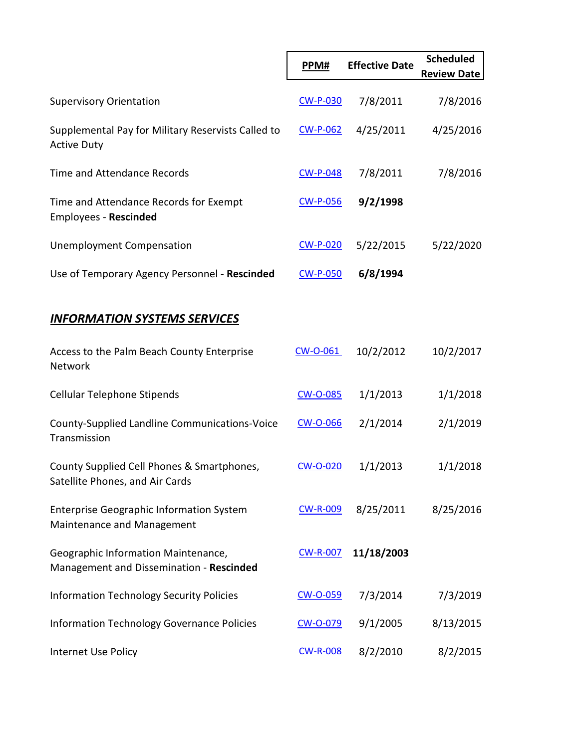|                                                                                 | PPM#            | <b>Effective Date</b> | <b>Scheduled</b><br><b>Review Date</b> |
|---------------------------------------------------------------------------------|-----------------|-----------------------|----------------------------------------|
| <b>Supervisory Orientation</b>                                                  | <b>CW-P-030</b> | 7/8/2011              | 7/8/2016                               |
| Supplemental Pay for Military Reservists Called to<br><b>Active Duty</b>        | <u>CW-P-062</u> | 4/25/2011             | 4/25/2016                              |
| Time and Attendance Records                                                     | <b>CW-P-048</b> | 7/8/2011              | 7/8/2016                               |
| Time and Attendance Records for Exempt<br><b>Employees - Rescinded</b>          | <b>CW-P-056</b> | 9/2/1998              |                                        |
| <b>Unemployment Compensation</b>                                                | <b>CW-P-020</b> | 5/22/2015             | 5/22/2020                              |
| Use of Temporary Agency Personnel - Rescinded                                   | <b>CW-P-050</b> | 6/8/1994              |                                        |
| <b>INFORMATION SYSTEMS SERVICES</b>                                             |                 |                       |                                        |
| Access to the Palm Beach County Enterprise<br>Network                           | CW-O-061        | 10/2/2012             | 10/2/2017                              |
| Cellular Telephone Stipends                                                     | <b>CW-O-085</b> | 1/1/2013              | 1/1/2018                               |
| County-Supplied Landline Communications-Voice<br>Transmission                   | <b>CW-O-066</b> | 2/1/2014              | 2/1/2019                               |
| County Supplied Cell Phones & Smartphones,<br>Satellite Phones, and Air Cards   | <b>CW-O-020</b> | 1/1/2013              | 1/1/2018                               |
| <b>Enterprise Geographic Information System</b><br>Maintenance and Management   | <b>CW-R-009</b> | 8/25/2011             | 8/25/2016                              |
| Geographic Information Maintenance,<br>Management and Dissemination - Rescinded | <b>CW-R-007</b> | 11/18/2003            |                                        |
| <b>Information Technology Security Policies</b>                                 | CW-O-059        | 7/3/2014              | 7/3/2019                               |
| <b>Information Technology Governance Policies</b>                               | CW-O-079        | 9/1/2005              | 8/13/2015                              |
| Internet Use Policy                                                             | <b>CW-R-008</b> | 8/2/2010              | 8/2/2015                               |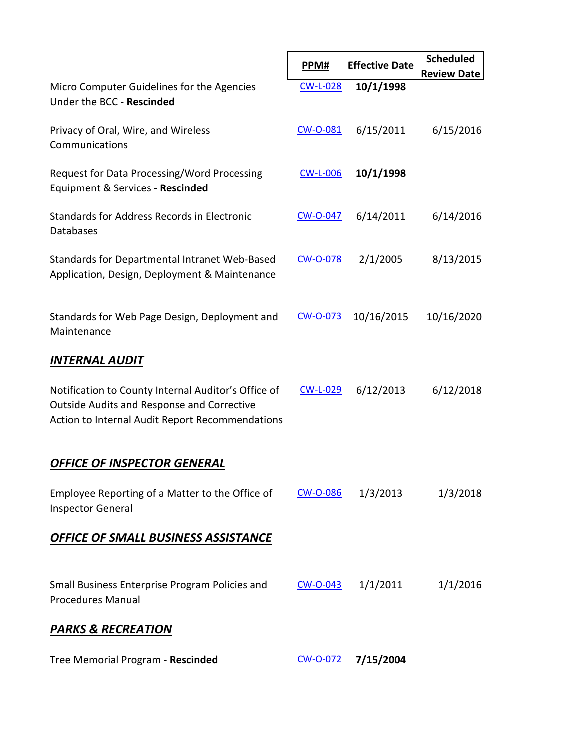|                                                                                                                                                      | PPM#            | <b>Effective Date</b> | <b>Scheduled</b>   |
|------------------------------------------------------------------------------------------------------------------------------------------------------|-----------------|-----------------------|--------------------|
| Micro Computer Guidelines for the Agencies<br>Under the BCC - Rescinded                                                                              | <b>CW-L-028</b> | 10/1/1998             | <b>Review Date</b> |
| Privacy of Oral, Wire, and Wireless<br>Communications                                                                                                | <b>CW-O-081</b> | 6/15/2011             | 6/15/2016          |
| Request for Data Processing/Word Processing<br>Equipment & Services - Rescinded                                                                      | <b>CW-L-006</b> | 10/1/1998             |                    |
| Standards for Address Records in Electronic<br>Databases                                                                                             | <b>CW-O-047</b> | 6/14/2011             | 6/14/2016          |
| Standards for Departmental Intranet Web-Based<br>Application, Design, Deployment & Maintenance                                                       | CW-O-078        | 2/1/2005              | 8/13/2015          |
| Standards for Web Page Design, Deployment and<br>Maintenance                                                                                         | CW-O-073        | 10/16/2015            | 10/16/2020         |
| <b>INTERNAL AUDIT</b>                                                                                                                                |                 |                       |                    |
| Notification to County Internal Auditor's Office of<br>Outside Audits and Response and Corrective<br>Action to Internal Audit Report Recommendations | <b>CW-L-029</b> | 6/12/2013             | 6/12/2018          |
| <b>OFFICE OF INSPECTOR GENERAL</b>                                                                                                                   |                 |                       |                    |
| Employee Reporting of a Matter to the Office of<br><b>Inspector General</b>                                                                          | <u>CW-O-086</u> | 1/3/2013              | 1/3/2018           |
| OFFICE OF SMALL BUSINESS ASSISTANCE                                                                                                                  |                 |                       |                    |
| Small Business Enterprise Program Policies and<br><b>Procedures Manual</b>                                                                           | $CW$ -O-043     | 1/1/2011              | 1/1/2016           |
| <b>PARKS &amp; RECREATION</b>                                                                                                                        |                 |                       |                    |
| Tree Memorial Program - Rescinded                                                                                                                    | CW-O-072        | 7/15/2004             |                    |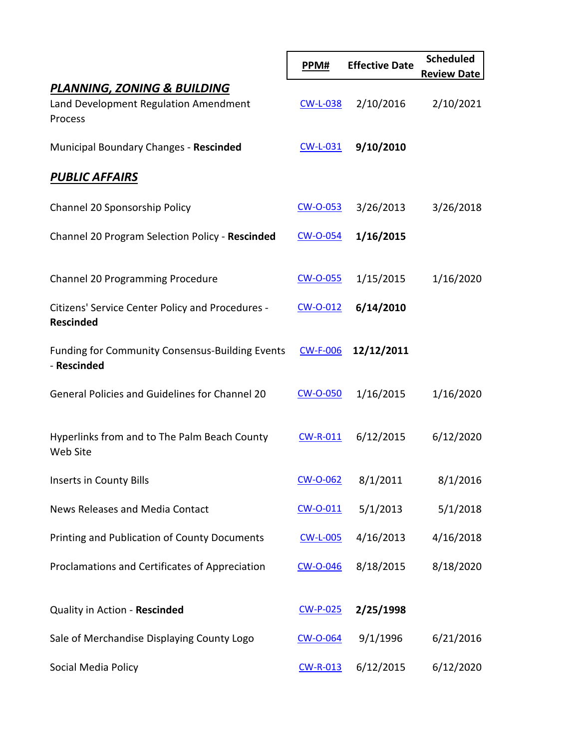|                                                                                 | PPM#            | <b>Effective Date</b> | <b>Scheduled</b><br><b>Review Date</b> |
|---------------------------------------------------------------------------------|-----------------|-----------------------|----------------------------------------|
| PLANNING, ZONING & BUILDING<br>Land Development Regulation Amendment<br>Process | <b>CW-L-038</b> | 2/10/2016             | 2/10/2021                              |
| Municipal Boundary Changes - Rescinded                                          | $CW-L-031$      | 9/10/2010             |                                        |
| <b>PUBLIC AFFAIRS</b>                                                           |                 |                       |                                        |
| Channel 20 Sponsorship Policy                                                   | CW-O-053        | 3/26/2013             | 3/26/2018                              |
| Channel 20 Program Selection Policy - Rescinded                                 | CW-O-054        | 1/16/2015             |                                        |
| Channel 20 Programming Procedure                                                | CW-O-055        | 1/15/2015             | 1/16/2020                              |
| Citizens' Service Center Policy and Procedures -<br><b>Rescinded</b>            | $CW$ -0-012     | 6/14/2010             |                                        |
| <b>Funding for Community Consensus-Building Events</b><br>- Rescinded           | <b>CW-F-006</b> | 12/12/2011            |                                        |
| General Policies and Guidelines for Channel 20                                  | <b>CW-O-050</b> | 1/16/2015             | 1/16/2020                              |
| Hyperlinks from and to The Palm Beach County<br>Web Site                        | $CW-R-011$      | 6/12/2015             | 6/12/2020                              |
| Inserts in County Bills                                                         | CW-O-062        | 8/1/2011              | 8/1/2016                               |
| News Releases and Media Contact                                                 | $CW$ -O-011     | 5/1/2013              | 5/1/2018                               |
| Printing and Publication of County Documents                                    | <b>CW-L-005</b> | 4/16/2013             | 4/16/2018                              |
| Proclamations and Certificates of Appreciation                                  | <b>CW-O-046</b> | 8/18/2015             | 8/18/2020                              |
| Quality in Action - Rescinded                                                   | CW-P-025        | 2/25/1998             |                                        |
| Sale of Merchandise Displaying County Logo                                      | <b>CW-O-064</b> | 9/1/1996              | 6/21/2016                              |
| Social Media Policy                                                             | <b>CW-R-013</b> | 6/12/2015             | 6/12/2020                              |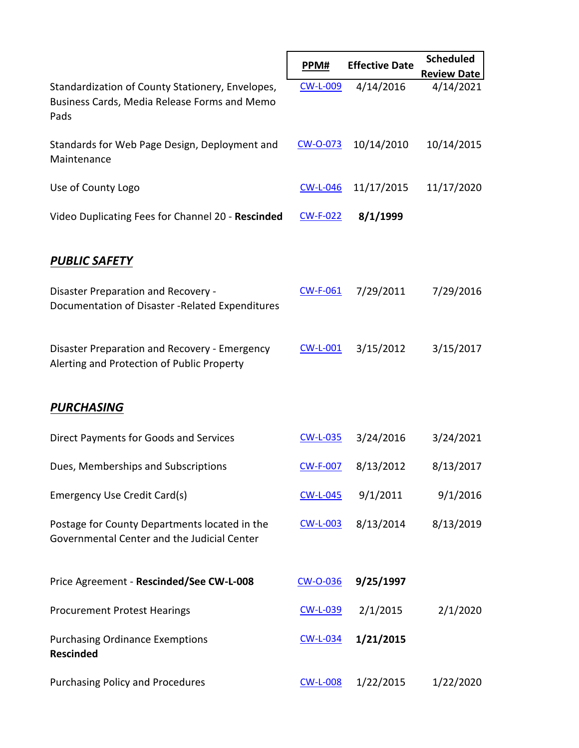|                                                                                                          |                 | <b>Effective Date</b> | <b>Scheduled</b>   |
|----------------------------------------------------------------------------------------------------------|-----------------|-----------------------|--------------------|
|                                                                                                          | PPM#            |                       | <b>Review Date</b> |
| Standardization of County Stationery, Envelopes,<br>Business Cards, Media Release Forms and Memo<br>Pads | <b>CW-L-009</b> | 4/14/2016             | 4/14/2021          |
| Standards for Web Page Design, Deployment and<br>Maintenance                                             | CW-O-073        | 10/14/2010            | 10/14/2015         |
| Use of County Logo                                                                                       | <b>CW-L-046</b> | 11/17/2015            | 11/17/2020         |
| Video Duplicating Fees for Channel 20 - Rescinded                                                        | <b>CW-F-022</b> | 8/1/1999              |                    |
| <b>PUBLIC SAFETY</b>                                                                                     |                 |                       |                    |
| Disaster Preparation and Recovery -<br>Documentation of Disaster - Related Expenditures                  | <b>CW-F-061</b> | 7/29/2011             | 7/29/2016          |
| Disaster Preparation and Recovery - Emergency<br>Alerting and Protection of Public Property              | $CW-L-001$      | 3/15/2012             | 3/15/2017          |
| <b>PURCHASING</b>                                                                                        |                 |                       |                    |
| Direct Payments for Goods and Services                                                                   | <b>CW-L-035</b> | 3/24/2016             | 3/24/2021          |
| Dues, Memberships and Subscriptions                                                                      | <b>CW-F-007</b> | 8/13/2012             | 8/13/2017          |
| <b>Emergency Use Credit Card(s)</b>                                                                      | <b>CW-L-045</b> | 9/1/2011              | 9/1/2016           |
| Postage for County Departments located in the<br>Governmental Center and the Judicial Center             | <b>CW-L-003</b> | 8/13/2014             | 8/13/2019          |
| Price Agreement - Rescinded/See CW-L-008                                                                 | CW-O-036        | 9/25/1997             |                    |
| <b>Procurement Protest Hearings</b>                                                                      | CW-L-039        | 2/1/2015              | 2/1/2020           |
| <b>Purchasing Ordinance Exemptions</b><br><b>Rescinded</b>                                               | <b>CW-L-034</b> | 1/21/2015             |                    |
| <b>Purchasing Policy and Procedures</b>                                                                  | <b>CW-L-008</b> | 1/22/2015             | 1/22/2020          |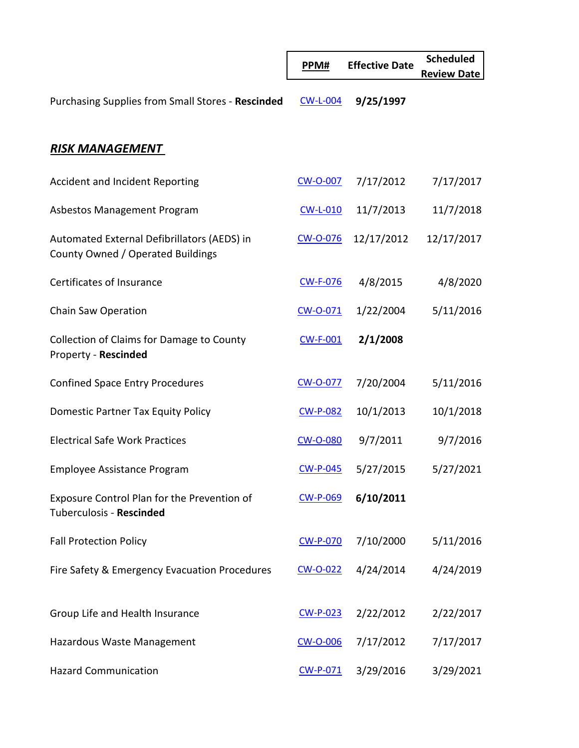|                                                                                  | PPM#            | <b>Effective Date</b> | <b>Scheduled</b><br><b>Review Date</b> |
|----------------------------------------------------------------------------------|-----------------|-----------------------|----------------------------------------|
| Purchasing Supplies from Small Stores - Rescinded                                | <b>CW-L-004</b> | 9/25/1997             |                                        |
| <b>RISK MANAGEMENT</b>                                                           |                 |                       |                                        |
| Accident and Incident Reporting                                                  | <b>CW-O-007</b> | 7/17/2012             | 7/17/2017                              |
| Asbestos Management Program                                                      | <b>CW-L-010</b> | 11/7/2013             | 11/7/2018                              |
| Automated External Defibrillators (AEDS) in<br>County Owned / Operated Buildings | <b>CW-O-076</b> | 12/17/2012            | 12/17/2017                             |
| Certificates of Insurance                                                        | <b>CW-F-076</b> | 4/8/2015              | 4/8/2020                               |
| Chain Saw Operation                                                              | CW-O-071        | 1/22/2004             | 5/11/2016                              |
| Collection of Claims for Damage to County<br>Property - Rescinded                | $CW-F-001$      | 2/1/2008              |                                        |
| <b>Confined Space Entry Procedures</b>                                           | <b>CW-O-077</b> | 7/20/2004             | 5/11/2016                              |
| Domestic Partner Tax Equity Policy                                               | <b>CW-P-082</b> | 10/1/2013             | 10/1/2018                              |
| <b>Electrical Safe Work Practices</b>                                            | <b>CW-O-080</b> | 9/7/2011              | 9/7/2016                               |
| <b>Employee Assistance Program</b>                                               | CW-P-045        | 5/27/2015             | 5/27/2021                              |
| Exposure Control Plan for the Prevention of<br>Tuberculosis - Rescinded          | <b>CW-P-069</b> | 6/10/2011             |                                        |
| <b>Fall Protection Policy</b>                                                    | <b>CW-P-070</b> | 7/10/2000             | 5/11/2016                              |
| Fire Safety & Emergency Evacuation Procedures                                    | $CW$ -0-022     | 4/24/2014             | 4/24/2019                              |
| Group Life and Health Insurance                                                  | $CW-P-023$      | 2/22/2012             | 2/22/2017                              |
| Hazardous Waste Management                                                       | <b>CW-O-006</b> | 7/17/2012             | 7/17/2017                              |
| <b>Hazard Communication</b>                                                      | $CW-P-071$      | 3/29/2016             | 3/29/2021                              |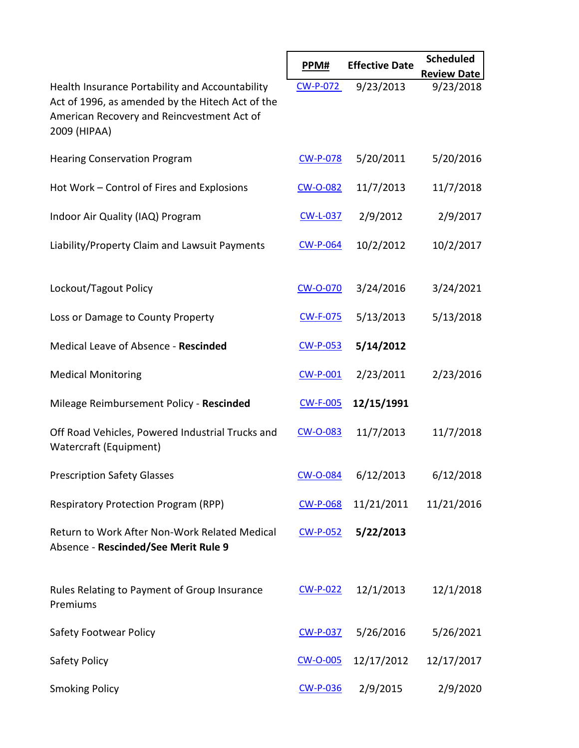|                                                                                                                                                                   | PPM#            | <b>Effective Date</b>                   | <b>Scheduled</b>   |
|-------------------------------------------------------------------------------------------------------------------------------------------------------------------|-----------------|-----------------------------------------|--------------------|
|                                                                                                                                                                   |                 |                                         | <b>Review Date</b> |
| Health Insurance Portability and Accountability<br>Act of 1996, as amended by the Hitech Act of the<br>American Recovery and Reincvestment Act of<br>2009 (HIPAA) | <b>CW-P-072</b> | 9/23/2013                               | 9/23/2018          |
| <b>Hearing Conservation Program</b>                                                                                                                               | <b>CW-P-078</b> | 5/20/2011                               | 5/20/2016          |
| Hot Work - Control of Fires and Explosions                                                                                                                        | CW-O-082        | 11/7/2013                               | 11/7/2018          |
| Indoor Air Quality (IAQ) Program                                                                                                                                  | <b>CW-L-037</b> | 2/9/2012                                | 2/9/2017           |
| Liability/Property Claim and Lawsuit Payments                                                                                                                     | <b>CW-P-064</b> | 10/2/2012                               | 10/2/2017          |
| Lockout/Tagout Policy                                                                                                                                             | CW-O-070        | 3/24/2016                               | 3/24/2021          |
| Loss or Damage to County Property                                                                                                                                 | <b>CW-F-075</b> | 5/13/2013                               | 5/13/2018          |
| Medical Leave of Absence - Rescinded                                                                                                                              | <b>CW-P-053</b> | 5/14/2012                               |                    |
| <b>Medical Monitoring</b>                                                                                                                                         | $CW-P-001$      | 2/23/2011                               | 2/23/2016          |
| Mileage Reimbursement Policy - Rescinded                                                                                                                          | <b>CW-F-005</b> | 12/15/1991                              |                    |
| Off Road Vehicles, Powered Industrial Trucks and<br>Watercraft (Equipment)                                                                                        | CW-O-083        | 11/7/2013                               | 11/7/2018          |
| <b>Prescription Safety Glasses</b>                                                                                                                                |                 | $\underline{\text{CW-O-084}}$ 6/12/2013 | 6/12/2018          |
| Respiratory Protection Program (RPP)                                                                                                                              | <b>CW-P-068</b> | 11/21/2011                              | 11/21/2016         |
| Return to Work After Non-Work Related Medical<br>Absence - Rescinded/See Merit Rule 9                                                                             | $CW-P-052$      | 5/22/2013                               |                    |
| Rules Relating to Payment of Group Insurance<br>Premiums                                                                                                          | <b>CW-P-022</b> | 12/1/2013                               | 12/1/2018          |
| <b>Safety Footwear Policy</b>                                                                                                                                     | CW-P-037        | 5/26/2016                               | 5/26/2021          |
| Safety Policy                                                                                                                                                     | <b>CW-O-005</b> | 12/17/2012                              | 12/17/2017         |
| <b>Smoking Policy</b>                                                                                                                                             | <b>CW-P-036</b> | 2/9/2015                                | 2/9/2020           |